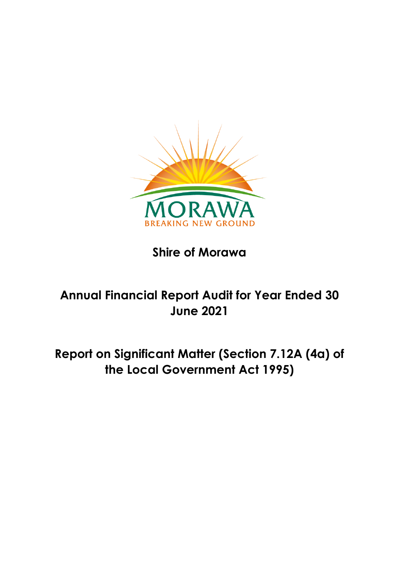

# **Shire of Morawa**

# **Annual Financial Report Audit for Year Ended 30 June 2021**

**Report on Significant Matter (Section 7.12A (4a) of the Local Government Act 1995)**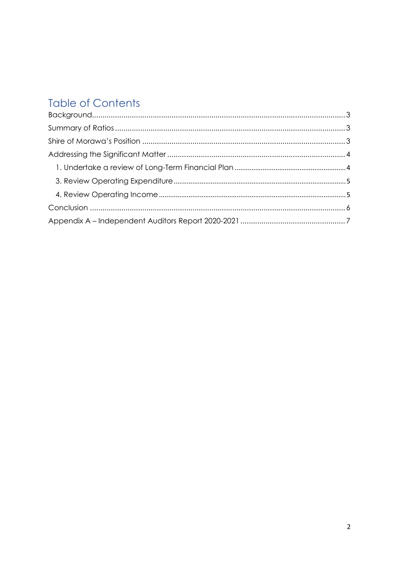# **Table of Contents**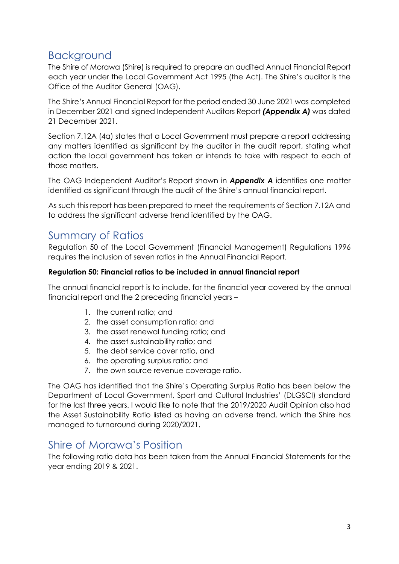### <span id="page-2-0"></span>Background

The Shire of Morawa (Shire) is required to prepare an audited Annual Financial Report each year under the Local Government Act 1995 (the Act). The Shire's auditor is the Office of the Auditor General (OAG).

The Shire's Annual Financial Report for the period ended 30 June 2021 was completed in December 2021 and signed Independent Auditors Report *(Appendix A)* was dated 21 December 2021.

Section 7.12A (4a) states that a Local Government must prepare a report addressing any matters identified as significant by the auditor in the audit report, stating what action the local government has taken or intends to take with respect to each of those matters.

The OAG Independent Auditor's Report shown in *Appendix A* identifies one matter identified as significant through the audit of the Shire's annual financial report.

As such this report has been prepared to meet the requirements of Section 7.12A and to address the significant adverse trend identified by the OAG.

## <span id="page-2-1"></span>Summary of Ratios

Regulation 50 of the Local Government (Financial Management) Regulations 1996 requires the inclusion of seven ratios in the Annual Financial Report.

### **Regulation 50: Financial ratios to be included in annual financial report**

The annual financial report is to include, for the financial year covered by the annual financial report and the 2 preceding financial years –

- 1. the current ratio; and
- 2. the asset consumption ratio; and
- 3. the asset renewal funding ratio; and
- 4. the asset sustainability ratio; and
- 5. the debt service cover ratio, and
- 6. the operating surplus ratio; and
- 7. the own source revenue coverage ratio.

The OAG has identified that the Shire's Operating Surplus Ratio has been below the Department of Local Government, Sport and Cultural Industries' (DLGSCI) standard for the last three years. I would like to note that the 2019/2020 Audit Opinion also had the Asset Sustainability Ratio listed as having an adverse trend, which the Shire has managed to turnaround during 2020/2021.

### <span id="page-2-2"></span>Shire of Morawa's Position

The following ratio data has been taken from the Annual Financial Statements for the year ending 2019 & 2021.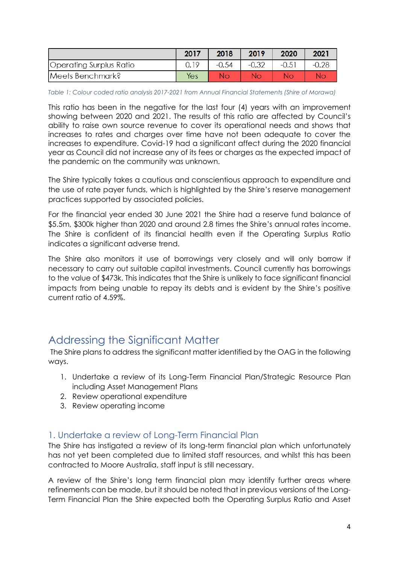|                         | 2017 | 2018    | 2019    | 2020    | 2021    |
|-------------------------|------|---------|---------|---------|---------|
| Operating Surplus Ratio |      | $-0.54$ | $-0.32$ | $-0.51$ | $-0.28$ |
| Meets Benchmark?        | Yes  | Nο      | Nο      | Nο      |         |

*Table 1: Colour coded ratio analysis 2017-2021 from Annual Financial Statements (Shire of Morawa)*

This ratio has been in the negative for the last four (4) years with an improvement showing between 2020 and 2021. The results of this ratio are affected by Council's ability to raise own source revenue to cover its operational needs and shows that increases to rates and charges over time have not been adequate to cover the increases to expenditure. Covid-19 had a significant affect during the 2020 financial year as Council did not increase any of its fees or charges as the expected impact of the pandemic on the community was unknown.

The Shire typically takes a cautious and conscientious approach to expenditure and the use of rate payer funds, which is highlighted by the Shire's reserve management practices supported by associated policies.

For the financial year ended 30 June 2021 the Shire had a reserve fund balance of \$5.5m, \$300k higher than 2020 and around 2.8 times the Shire's annual rates income. The Shire is confident of its financial health even if the Operating Surplus Ratio indicates a significant adverse trend.

The Shire also monitors it use of borrowings very closely and will only borrow if necessary to carry out suitable capital investments. Council currently has borrowings to the value of \$473k. This indicates that the Shire is unlikely to face significant financial impacts from being unable to repay its debts and is evident by the Shire's positive current ratio of 4.59%.

### <span id="page-3-0"></span>Addressing the Significant Matter

The Shire plans to address the significant matter identified by the OAG in the following ways.

- 1. Undertake a review of its Long-Term Financial Plan/Strategic Resource Plan including Asset Management Plans
- 2. Review operational expenditure
- 3. Review operating income

### <span id="page-3-1"></span>1. Undertake a review of Long-Term Financial Plan

The Shire has instigated a review of its long-term financial plan which unfortunately has not yet been completed due to limited staff resources, and whilst this has been contracted to Moore Australia, staff input is still necessary.

A review of the Shire's long term financial plan may identify further areas where refinements can be made, but it should be noted that in previous versions of the Long-Term Financial Plan the Shire expected both the Operating Surplus Ratio and Asset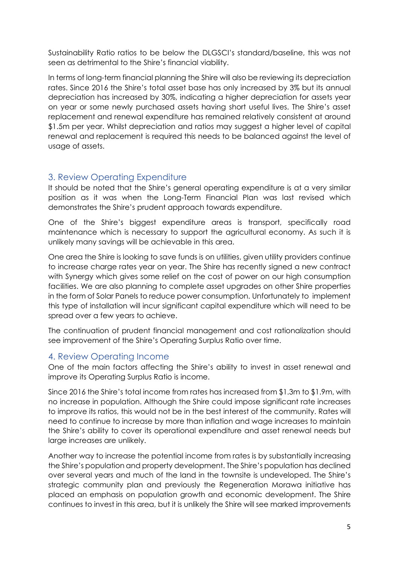Sustainability Ratio ratios to be below the DLGSCI's standard/baseline, this was not seen as detrimental to the Shire's financial viability.

In terms of long-term financial planning the Shire will also be reviewing its depreciation rates. Since 2016 the Shire's total asset base has only increased by 3% but its annual depreciation has increased by 30%, indicating a higher depreciation for assets year on year or some newly purchased assets having short useful lives. The Shire's asset replacement and renewal expenditure has remained relatively consistent at around \$1.5m per year. Whilst depreciation and ratios may suggest a higher level of capital renewal and replacement is required this needs to be balanced against the level of usage of assets.

### <span id="page-4-0"></span>3. Review Operating Expenditure

It should be noted that the Shire's general operating expenditure is at a very similar position as it was when the Long-Term Financial Plan was last revised which demonstrates the Shire's prudent approach towards expenditure.

One of the Shire's biggest expenditure areas is transport, specifically road maintenance which is necessary to support the agricultural economy. As such it is unlikely many savings will be achievable in this area.

One area the Shire is looking to save funds is on utilities, given utility providers continue to increase charge rates year on year. The Shire has recently signed a new contract with Synergy which gives some relief on the cost of power on our high consumption facilities. We are also planning to complete asset upgrades on other Shire properties in the form of Solar Panels to reduce power consumption. Unfortunately to implement this type of installation will incur significant capital expenditure which will need to be spread over a few years to achieve.

The continuation of prudent financial management and cost rationalization should see improvement of the Shire's Operating Surplus Ratio over time.

### <span id="page-4-1"></span>4. Review Operating Income

One of the main factors affecting the Shire's ability to invest in asset renewal and improve its Operating Surplus Ratio is income.

Since 2016 the Shire's total income from rates has increased from \$1.3m to \$1.9m, with no increase in population. Although the Shire could impose significant rate increases to improve its ratios, this would not be in the best interest of the community. Rates will need to continue to increase by more than inflation and wage increases to maintain the Shire's ability to cover its operational expenditure and asset renewal needs but large increases are unlikely.

Another way to increase the potential income from rates is by substantially increasing the Shire's population and property development. The Shire's population has declined over several years and much of the land in the townsite is undeveloped. The Shire's strategic community plan and previously the Regeneration Morawa initiative has placed an emphasis on population growth and economic development. The Shire continues to invest in this area, but it is unlikely the Shire will see marked improvements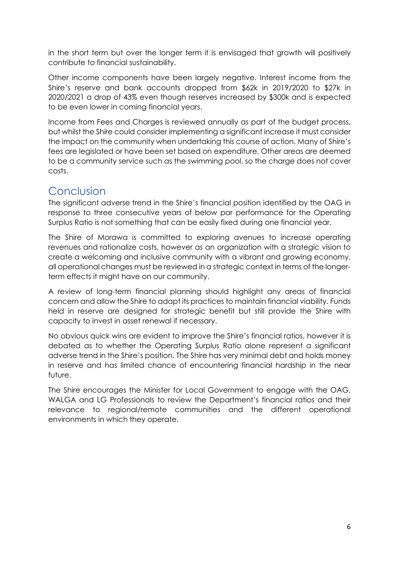in the short term but over the longer term it is envisaged that growth will positively contribute to financial sustainability.

Other income components have been largely negative. Interest income from the Shire's reserve and bank accounts dropped from \$62k in 2019/2020 to \$27k in 2020/2021 a drop of 43% even though reserves increased by \$300k and is expected to be even lower in coming financial years.

Income from Fees and Charges is reviewed annually as part of the budget process, but whilst the Shire could consider implementing a significant increase it must consider the impact on the community when undertaking this course of action. Many of Shire's fees are legislated or have been set based on expenditure. Other areas are deemed to be a community service such as the swimming pool, so the charge does not cover costs.

## <span id="page-5-0"></span>Conclusion

The significant adverse trend in the Shire's financial position identified by the OAG in response to three consecutive years of below par performance for the Operating Surplus Ratio is not something that can be easily fixed during one financial year.

The Shire of Morawa is committed to exploring avenues to increase operating revenues and rationalize costs, however as an organization with a strategic vision to create a welcoming and inclusive community with a vibrant and growing economy, all operational changes must be reviewed in a strategic context in terms of the longerterm effects it might have on our community.

A review of long-term financial planning should highlight any areas of financial concern and allow the Shire to adapt its practices to maintain financial viability. Funds held in reserve are designed for strategic benefit but still provide the Shire with capacity to invest in asset renewal if necessary.

No obvious quick wins are evident to improve the Shire's financial ratios, however it is debated as to whether the Operating Surplus Ratio alone represent a significant adverse trend in the Shire's position. The Shire has very minimal debt and holds money in reserve and has limited chance of encountering financial hardship in the near future.

The Shire encourages the Minister for Local Government to engage with the OAG, WALGA and LG Professionals to review the Department's financial ratios and their relevance to regional/remote communities and the different operational environments in which they operate.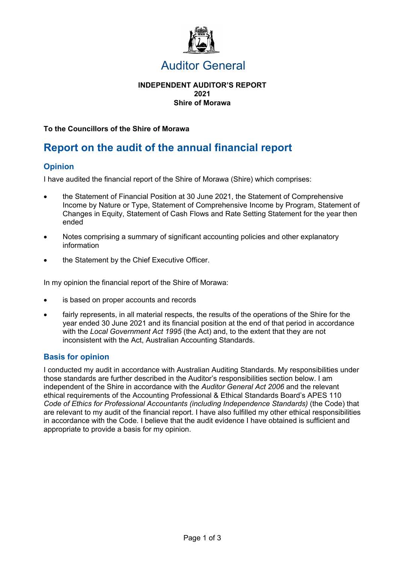

### Auditor General

#### **INDEPENDENT AUDITOR'S REPORT 2021 Shire of Morawa**

#### **To the Councillors of the Shire of Morawa**

## **Report on the audit of the annual financial report**

### **Opinion**

I have audited the financial report of the Shire of Morawa (Shire) which comprises:

- the Statement of Financial Position at 30 June 2021, the Statement of Comprehensive Income by Nature or Type, Statement of Comprehensive Income by Program, Statement of Changes in Equity, Statement of Cash Flows and Rate Setting Statement for the year then ended
- Notes comprising a summary of significant accounting policies and other explanatory information
- the Statement by the Chief Executive Officer.

In my opinion the financial report of the Shire of Morawa:

- is based on proper accounts and records
- fairly represents, in all material respects, the results of the operations of the Shire for the year ended 30 June 2021 and its financial position at the end of that period in accordance with the *Local Government Act 1995* (the Act) and, to the extent that they are not inconsistent with the Act, Australian Accounting Standards.

#### **Basis for opinion**

I conducted my audit in accordance with Australian Auditing Standards. My responsibilities under those standards are further described in the Auditor's responsibilities section below. I am independent of the Shire in accordance with the *Auditor General Act 2006* and the relevant ethical requirements of the Accounting Professional & Ethical Standards Board's APES 110 *Code of Ethics for Professional Accountants (including Independence Standards)* (the Code) that are relevant to my audit of the financial report. I have also fulfilled my other ethical responsibilities in accordance with the Code. I believe that the audit evidence I have obtained is sufficient and appropriate to provide a basis for my opinion.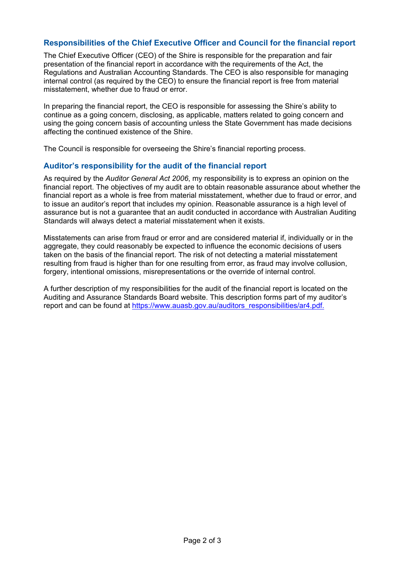### **Responsibilities of the Chief Executive Officer and Council for the financial report**

The Chief Executive Officer (CEO) of the Shire is responsible for the preparation and fair presentation of the financial report in accordance with the requirements of the Act, the Regulations and Australian Accounting Standards. The CEO is also responsible for managing internal control (as required by the CEO) to ensure the financial report is free from material misstatement, whether due to fraud or error.

In preparing the financial report, the CEO is responsible for assessing the Shire's ability to continue as a going concern, disclosing, as applicable, matters related to going concern and using the going concern basis of accounting unless the State Government has made decisions affecting the continued existence of the Shire.

The Council is responsible for overseeing the Shire's financial reporting process.

#### **Auditor's responsibility for the audit of the financial report**

As required by the *Auditor General Act 2006*, my responsibility is to express an opinion on the financial report. The objectives of my audit are to obtain reasonable assurance about whether the financial report as a whole is free from material misstatement, whether due to fraud or error, and to issue an auditor's report that includes my opinion. Reasonable assurance is a high level of assurance but is not a guarantee that an audit conducted in accordance with Australian Auditing Standards will always detect a material misstatement when it exists.

Misstatements can arise from fraud or error and are considered material if, individually or in the aggregate, they could reasonably be expected to influence the economic decisions of users taken on the basis of the financial report. The risk of not detecting a material misstatement resulting from fraud is higher than for one resulting from error, as fraud may involve collusion, forgery, intentional omissions, misrepresentations or the override of internal control.

A further description of my responsibilities for the audit of the financial report is located on the Auditing and Assurance Standards Board website. This description forms part of my auditor's report and can be found at https://www.auasb.gov.au/auditors\_responsibilities/ar4.pdf.